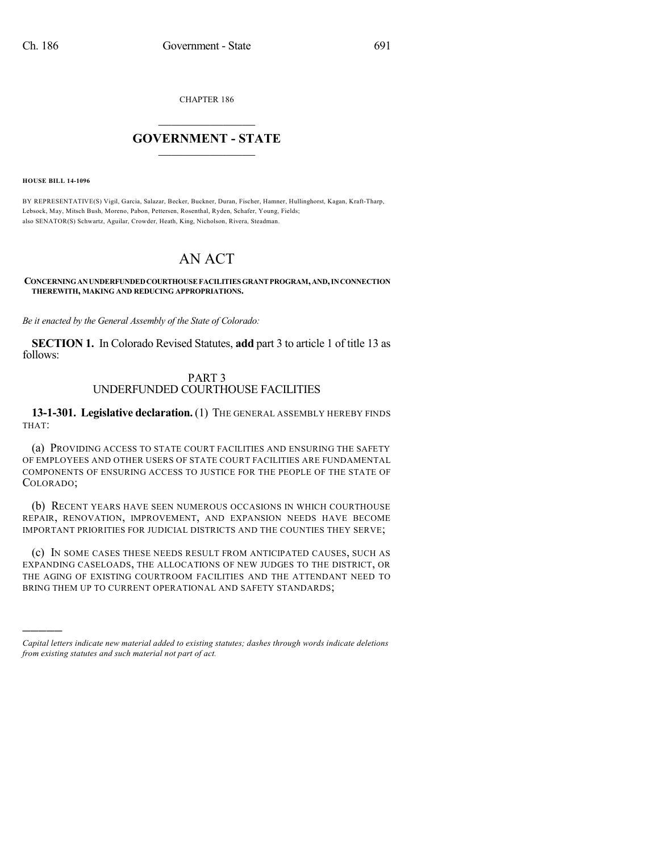CHAPTER 186

## $\mathcal{L}_\text{max}$  . The set of the set of the set of the set of the set of the set of the set of the set of the set of the set of the set of the set of the set of the set of the set of the set of the set of the set of the set **GOVERNMENT - STATE**  $\_$   $\_$   $\_$   $\_$   $\_$   $\_$   $\_$   $\_$   $\_$

**HOUSE BILL 14-1096**

)))))

BY REPRESENTATIVE(S) Vigil, Garcia, Salazar, Becker, Buckner, Duran, Fischer, Hamner, Hullinghorst, Kagan, Kraft-Tharp, Lebsock, May, Mitsch Bush, Moreno, Pabon, Pettersen, Rosenthal, Ryden, Schafer, Young, Fields; also SENATOR(S) Schwartz, Aguilar, Crowder, Heath, King, Nicholson, Rivera, Steadman.

## AN ACT

**CONCERNINGANUNDERFUNDEDCOURTHOUSEFACILITIES GRANTPROGRAM,AND,INCONNECTION THEREWITH, MAKING AND REDUCING APPROPRIATIONS.**

*Be it enacted by the General Assembly of the State of Colorado:*

**SECTION 1.** In Colorado Revised Statutes, **add** part 3 to article 1 of title 13 as follows:

## PART 3 UNDERFUNDED COURTHOUSE FACILITIES

**13-1-301. Legislative declaration.** (1) THE GENERAL ASSEMBLY HEREBY FINDS THAT:

(a) PROVIDING ACCESS TO STATE COURT FACILITIES AND ENSURING THE SAFETY OF EMPLOYEES AND OTHER USERS OF STATE COURT FACILITIES ARE FUNDAMENTAL COMPONENTS OF ENSURING ACCESS TO JUSTICE FOR THE PEOPLE OF THE STATE OF COLORADO;

(b) RECENT YEARS HAVE SEEN NUMEROUS OCCASIONS IN WHICH COURTHOUSE REPAIR, RENOVATION, IMPROVEMENT, AND EXPANSION NEEDS HAVE BECOME IMPORTANT PRIORITIES FOR JUDICIAL DISTRICTS AND THE COUNTIES THEY SERVE;

(c) IN SOME CASES THESE NEEDS RESULT FROM ANTICIPATED CAUSES, SUCH AS EXPANDING CASELOADS, THE ALLOCATIONS OF NEW JUDGES TO THE DISTRICT, OR THE AGING OF EXISTING COURTROOM FACILITIES AND THE ATTENDANT NEED TO BRING THEM UP TO CURRENT OPERATIONAL AND SAFETY STANDARDS;

*Capital letters indicate new material added to existing statutes; dashes through words indicate deletions from existing statutes and such material not part of act.*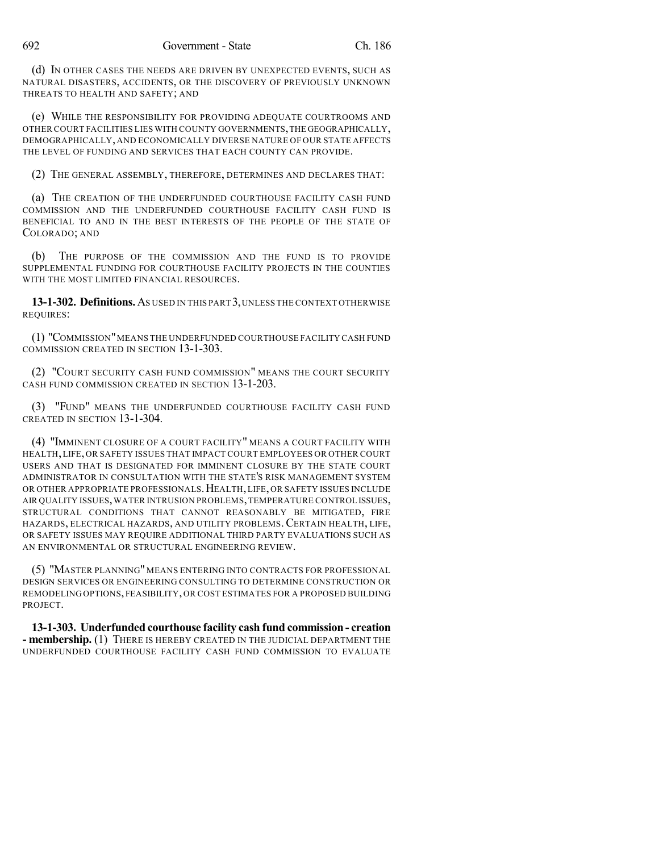(d) IN OTHER CASES THE NEEDS ARE DRIVEN BY UNEXPECTED EVENTS, SUCH AS NATURAL DISASTERS, ACCIDENTS, OR THE DISCOVERY OF PREVIOUSLY UNKNOWN THREATS TO HEALTH AND SAFETY; AND

(e) WHILE THE RESPONSIBILITY FOR PROVIDING ADEQUATE COURTROOMS AND OTHER COURT FACILITIES LIES WITH COUNTY GOVERNMENTS,THE GEOGRAPHICALLY, DEMOGRAPHICALLY, AND ECONOMICALLY DIVERSE NATURE OF OUR STATE AFFECTS THE LEVEL OF FUNDING AND SERVICES THAT EACH COUNTY CAN PROVIDE.

(2) THE GENERAL ASSEMBLY, THEREFORE, DETERMINES AND DECLARES THAT:

(a) THE CREATION OF THE UNDERFUNDED COURTHOUSE FACILITY CASH FUND COMMISSION AND THE UNDERFUNDED COURTHOUSE FACILITY CASH FUND IS BENEFICIAL TO AND IN THE BEST INTERESTS OF THE PEOPLE OF THE STATE OF COLORADO; AND

(b) THE PURPOSE OF THE COMMISSION AND THE FUND IS TO PROVIDE SUPPLEMENTAL FUNDING FOR COURTHOUSE FACILITY PROJECTS IN THE COUNTIES WITH THE MOST LIMITED FINANCIAL RESOURCES.

**13-1-302. Definitions.**AS USED IN THIS PART 3,UNLESS THE CONTEXT OTHERWISE REQUIRES:

(1) "COMMISSION"MEANS THE UNDERFUNDED COURTHOUSE FACILITY CASH FUND COMMISSION CREATED IN SECTION 13-1-303.

(2) "COURT SECURITY CASH FUND COMMISSION" MEANS THE COURT SECURITY CASH FUND COMMISSION CREATED IN SECTION 13-1-203.

(3) "FUND" MEANS THE UNDERFUNDED COURTHOUSE FACILITY CASH FUND CREATED IN SECTION 13-1-304.

(4) "IMMINENT CLOSURE OF A COURT FACILITY" MEANS A COURT FACILITY WITH HEALTH,LIFE, OR SAFETY ISSUES THAT IMPACT COURT EMPLOYEES OR OTHER COURT USERS AND THAT IS DESIGNATED FOR IMMINENT CLOSURE BY THE STATE COURT ADMINISTRATOR IN CONSULTATION WITH THE STATE'S RISK MANAGEMENT SYSTEM OR OTHER APPROPRIATE PROFESSIONALS.HEALTH,LIFE, OR SAFETY ISSUES INCLUDE AIR QUALITY ISSUES,WATER INTRUSION PROBLEMS,TEMPERATURE CONTROL ISSUES, STRUCTURAL CONDITIONS THAT CANNOT REASONABLY BE MITIGATED, FIRE HAZARDS, ELECTRICAL HAZARDS, AND UTILITY PROBLEMS.CERTAIN HEALTH, LIFE, OR SAFETY ISSUES MAY REQUIRE ADDITIONAL THIRD PARTY EVALUATIONS SUCH AS AN ENVIRONMENTAL OR STRUCTURAL ENGINEERING REVIEW.

(5) "MASTER PLANNING" MEANS ENTERING INTO CONTRACTS FOR PROFESSIONAL DESIGN SERVICES OR ENGINEERING CONSULTING TO DETERMINE CONSTRUCTION OR REMODELING OPTIONS, FEASIBILITY, OR COST ESTIMATES FOR A PROPOSED BUILDING PROJECT.

**13-1-303. Underfunded courthouse facility cash fund commission - creation - membership.** (1) THERE IS HEREBY CREATED IN THE JUDICIAL DEPARTMENT THE UNDERFUNDED COURTHOUSE FACILITY CASH FUND COMMISSION TO EVALUATE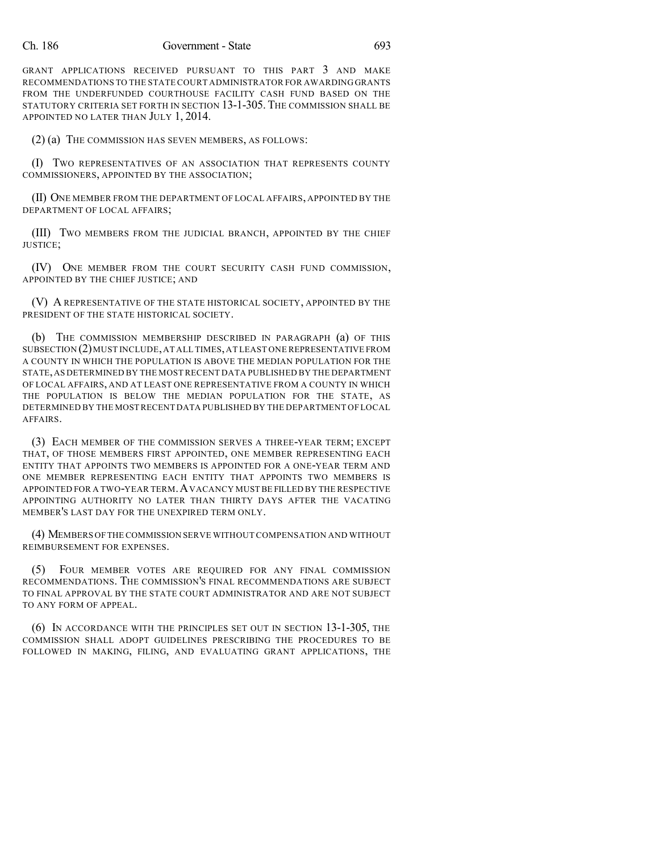GRANT APPLICATIONS RECEIVED PURSUANT TO THIS PART 3 AND MAKE RECOMMENDATIONS TO THE STATE COURT ADMINISTRATOR FOR AWARDING GRANTS FROM THE UNDERFUNDED COURTHOUSE FACILITY CASH FUND BASED ON THE STATUTORY CRITERIA SET FORTH IN SECTION 13-1-305.THE COMMISSION SHALL BE APPOINTED NO LATER THAN JULY 1, 2014.

(2) (a) THE COMMISSION HAS SEVEN MEMBERS, AS FOLLOWS:

(I) TWO REPRESENTATIVES OF AN ASSOCIATION THAT REPRESENTS COUNTY COMMISSIONERS, APPOINTED BY THE ASSOCIATION;

(II) ONE MEMBER FROM THE DEPARTMENT OF LOCAL AFFAIRS, APPOINTED BY THE DEPARTMENT OF LOCAL AFFAIRS;

(III) TWO MEMBERS FROM THE JUDICIAL BRANCH, APPOINTED BY THE CHIEF JUSTICE;

(IV) ONE MEMBER FROM THE COURT SECURITY CASH FUND COMMISSION, APPOINTED BY THE CHIEF JUSTICE; AND

(V) A REPRESENTATIVE OF THE STATE HISTORICAL SOCIETY, APPOINTED BY THE PRESIDENT OF THE STATE HISTORICAL SOCIETY.

(b) THE COMMISSION MEMBERSHIP DESCRIBED IN PARAGRAPH (a) OF THIS SUBSECTION (2)MUST INCLUDE,AT ALL TIMES,AT LEAST ONE REPRESENTATIVE FROM A COUNTY IN WHICH THE POPULATION IS ABOVE THE MEDIAN POPULATION FOR THE STATE,AS DETERMINED BY THE MOST RECENT DATA PUBLISHED BY THE DEPARTMENT OF LOCAL AFFAIRS, AND AT LEAST ONE REPRESENTATIVE FROM A COUNTY IN WHICH THE POPULATION IS BELOW THE MEDIAN POPULATION FOR THE STATE, AS DETERMINED BY THE MOST RECENT DATA PUBLISHED BY THE DEPARTMENT OF LOCAL AFFAIRS.

(3) EACH MEMBER OF THE COMMISSION SERVES A THREE-YEAR TERM; EXCEPT THAT, OF THOSE MEMBERS FIRST APPOINTED, ONE MEMBER REPRESENTING EACH ENTITY THAT APPOINTS TWO MEMBERS IS APPOINTED FOR A ONE-YEAR TERM AND ONE MEMBER REPRESENTING EACH ENTITY THAT APPOINTS TWO MEMBERS IS APPOINTED FOR A TWO-YEAR TERM.AVACANCY MUST BE FILLED BY THE RESPECTIVE APPOINTING AUTHORITY NO LATER THAN THIRTY DAYS AFTER THE VACATING MEMBER'S LAST DAY FOR THE UNEXPIRED TERM ONLY.

(4) MEMBERS OFTHE COMMISSION SERVE WITHOUT COMPENSATION AND WITHOUT REIMBURSEMENT FOR EXPENSES.

(5) FOUR MEMBER VOTES ARE REQUIRED FOR ANY FINAL COMMISSION RECOMMENDATIONS. THE COMMISSION'S FINAL RECOMMENDATIONS ARE SUBJECT TO FINAL APPROVAL BY THE STATE COURT ADMINISTRATOR AND ARE NOT SUBJECT TO ANY FORM OF APPEAL.

(6) IN ACCORDANCE WITH THE PRINCIPLES SET OUT IN SECTION 13-1-305, THE COMMISSION SHALL ADOPT GUIDELINES PRESCRIBING THE PROCEDURES TO BE FOLLOWED IN MAKING, FILING, AND EVALUATING GRANT APPLICATIONS, THE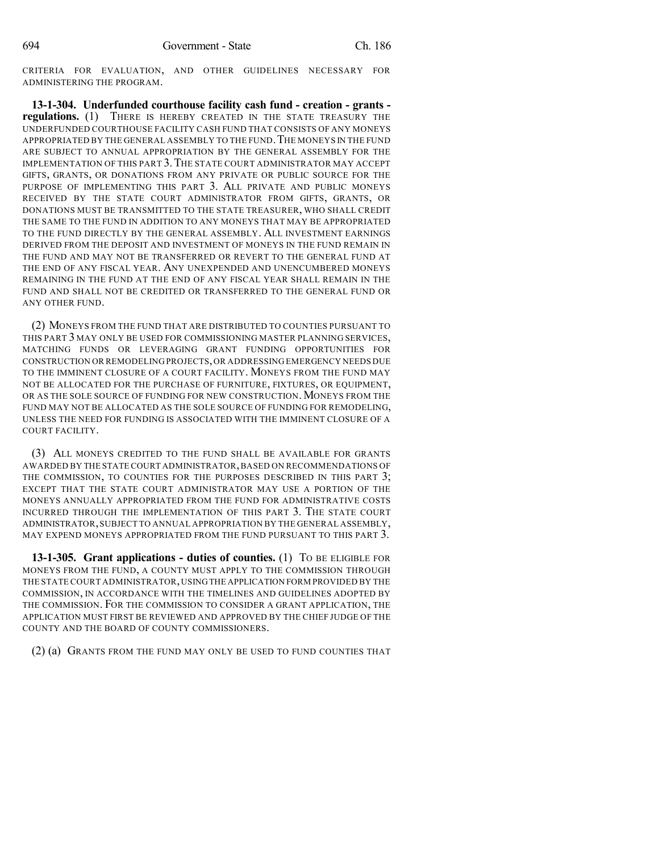CRITERIA FOR EVALUATION, AND OTHER GUIDELINES NECESSARY FOR ADMINISTERING THE PROGRAM.

**13-1-304. Underfunded courthouse facility cash fund - creation - grants regulations.** (1) THERE IS HEREBY CREATED IN THE STATE TREASURY THE UNDERFUNDED COURTHOUSE FACILITY CASH FUND THAT CONSISTS OF ANY MONEYS APPROPRIATED BY THE GENERAL ASSEMBLY TO THE FUND. THE MONEYS IN THE FUND ARE SUBJECT TO ANNUAL APPROPRIATION BY THE GENERAL ASSEMBLY FOR THE IMPLEMENTATION OF THIS PART 3. THE STATE COURT ADMINISTRATOR MAY ACCEPT GIFTS, GRANTS, OR DONATIONS FROM ANY PRIVATE OR PUBLIC SOURCE FOR THE PURPOSE OF IMPLEMENTING THIS PART 3. ALL PRIVATE AND PUBLIC MONEYS RECEIVED BY THE STATE COURT ADMINISTRATOR FROM GIFTS, GRANTS, OR DONATIONS MUST BE TRANSMITTED TO THE STATE TREASURER, WHO SHALL CREDIT THE SAME TO THE FUND IN ADDITION TO ANY MONEYS THAT MAY BE APPROPRIATED TO THE FUND DIRECTLY BY THE GENERAL ASSEMBLY. ALL INVESTMENT EARNINGS DERIVED FROM THE DEPOSIT AND INVESTMENT OF MONEYS IN THE FUND REMAIN IN THE FUND AND MAY NOT BE TRANSFERRED OR REVERT TO THE GENERAL FUND AT THE END OF ANY FISCAL YEAR. ANY UNEXPENDED AND UNENCUMBERED MONEYS REMAINING IN THE FUND AT THE END OF ANY FISCAL YEAR SHALL REMAIN IN THE FUND AND SHALL NOT BE CREDITED OR TRANSFERRED TO THE GENERAL FUND OR ANY OTHER FUND.

(2) MONEYS FROM THE FUND THAT ARE DISTRIBUTED TO COUNTIES PURSUANT TO THIS PART 3 MAY ONLY BE USED FOR COMMISSIONING MASTER PLANNING SERVICES, MATCHING FUNDS OR LEVERAGING GRANT FUNDING OPPORTUNITIES FOR CONSTRUCTION OR REMODELING PROJECTS,OR ADDRESSING EMERGENCY NEEDS DUE TO THE IMMINENT CLOSURE OF A COURT FACILITY. MONEYS FROM THE FUND MAY NOT BE ALLOCATED FOR THE PURCHASE OF FURNITURE, FIXTURES, OR EQUIPMENT, OR AS THE SOLE SOURCE OF FUNDING FOR NEW CONSTRUCTION. MONEYS FROM THE FUND MAY NOT BE ALLOCATED AS THE SOLE SOURCE OF FUNDING FOR REMODELING, UNLESS THE NEED FOR FUNDING IS ASSOCIATED WITH THE IMMINENT CLOSURE OF A COURT FACILITY.

(3) ALL MONEYS CREDITED TO THE FUND SHALL BE AVAILABLE FOR GRANTS AWARDED BY THE STATE COURT ADMINISTRATOR,BASED ON RECOMMENDATIONS OF THE COMMISSION, TO COUNTIES FOR THE PURPOSES DESCRIBED IN THIS PART 3; EXCEPT THAT THE STATE COURT ADMINISTRATOR MAY USE A PORTION OF THE MONEYS ANNUALLY APPROPRIATED FROM THE FUND FOR ADMINISTRATIVE COSTS INCURRED THROUGH THE IMPLEMENTATION OF THIS PART 3. THE STATE COURT ADMINISTRATOR,SUBJECT TO ANNUAL APPROPRIATION BY THE GENERAL ASSEMBLY, MAY EXPEND MONEYS APPROPRIATED FROM THE FUND PURSUANT TO THIS PART 3.

**13-1-305. Grant applications - duties of counties.** (1) TO BE ELIGIBLE FOR MONEYS FROM THE FUND, A COUNTY MUST APPLY TO THE COMMISSION THROUGH THE STATE COURT ADMINISTRATOR,USINGTHE APPLICATION FORM PROVIDED BY THE COMMISSION, IN ACCORDANCE WITH THE TIMELINES AND GUIDELINES ADOPTED BY THE COMMISSION. FOR THE COMMISSION TO CONSIDER A GRANT APPLICATION, THE APPLICATION MUST FIRST BE REVIEWED AND APPROVED BY THE CHIEF JUDGE OF THE COUNTY AND THE BOARD OF COUNTY COMMISSIONERS.

(2) (a) GRANTS FROM THE FUND MAY ONLY BE USED TO FUND COUNTIES THAT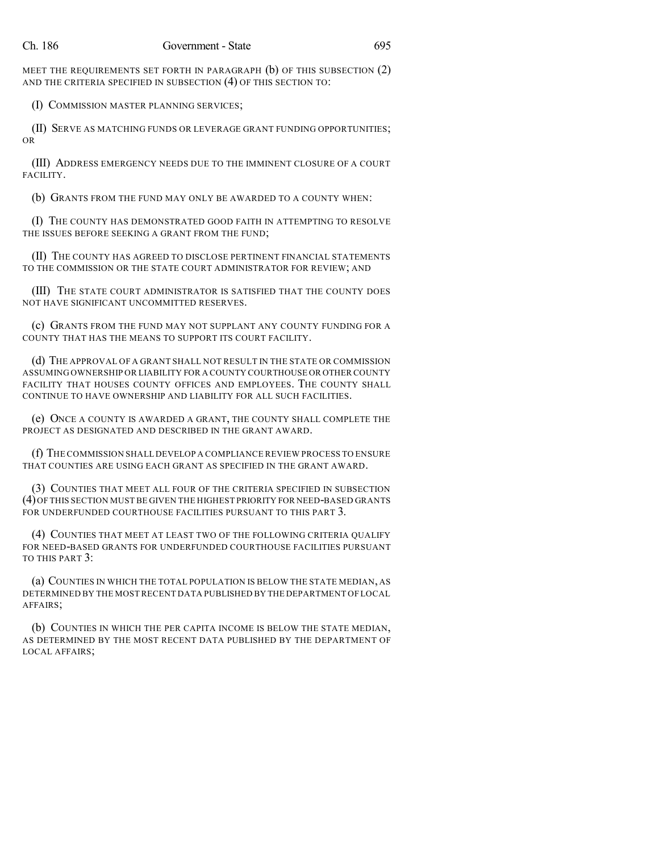MEET THE REQUIREMENTS SET FORTH IN PARAGRAPH (b) OF THIS SUBSECTION (2) AND THE CRITERIA SPECIFIED IN SUBSECTION (4) OF THIS SECTION TO:

(I) COMMISSION MASTER PLANNING SERVICES;

(II) SERVE AS MATCHING FUNDS OR LEVERAGE GRANT FUNDING OPPORTUNITIES; OR

(III) ADDRESS EMERGENCY NEEDS DUE TO THE IMMINENT CLOSURE OF A COURT FACILITY.

(b) GRANTS FROM THE FUND MAY ONLY BE AWARDED TO A COUNTY WHEN:

(I) THE COUNTY HAS DEMONSTRATED GOOD FAITH IN ATTEMPTING TO RESOLVE THE ISSUES BEFORE SEEKING A GRANT FROM THE FUND;

(II) THE COUNTY HAS AGREED TO DISCLOSE PERTINENT FINANCIAL STATEMENTS TO THE COMMISSION OR THE STATE COURT ADMINISTRATOR FOR REVIEW; AND

(III) THE STATE COURT ADMINISTRATOR IS SATISFIED THAT THE COUNTY DOES NOT HAVE SIGNIFICANT UNCOMMITTED RESERVES.

(c) GRANTS FROM THE FUND MAY NOT SUPPLANT ANY COUNTY FUNDING FOR A COUNTY THAT HAS THE MEANS TO SUPPORT ITS COURT FACILITY.

(d) THE APPROVAL OF A GRANT SHALL NOT RESULT IN THE STATE OR COMMISSION ASSUMING OWNERSHIP OR LIABILITY FOR A COUNTY COURTHOUSE OR OTHER COUNTY FACILITY THAT HOUSES COUNTY OFFICES AND EMPLOYEES. THE COUNTY SHALL CONTINUE TO HAVE OWNERSHIP AND LIABILITY FOR ALL SUCH FACILITIES.

(e) ONCE A COUNTY IS AWARDED A GRANT, THE COUNTY SHALL COMPLETE THE PROJECT AS DESIGNATED AND DESCRIBED IN THE GRANT AWARD.

(f) THE COMMISSION SHALL DEVELOP A COMPLIANCE REVIEW PROCESS TO ENSURE THAT COUNTIES ARE USING EACH GRANT AS SPECIFIED IN THE GRANT AWARD.

(3) COUNTIES THAT MEET ALL FOUR OF THE CRITERIA SPECIFIED IN SUBSECTION (4)OF THIS SECTION MUST BE GIVEN THE HIGHEST PRIORITY FOR NEED-BASED GRANTS FOR UNDERFUNDED COURTHOUSE FACILITIES PURSUANT TO THIS PART 3.

(4) COUNTIES THAT MEET AT LEAST TWO OF THE FOLLOWING CRITERIA QUALIFY FOR NEED-BASED GRANTS FOR UNDERFUNDED COURTHOUSE FACILITIES PURSUANT TO THIS PART 3:

(a) COUNTIES IN WHICH THE TOTAL POPULATION IS BELOW THE STATE MEDIAN, AS DETERMINED BY THE MOST RECENT DATA PUBLISHED BY THE DEPARTMENT OF LOCAL AFFAIRS;

(b) COUNTIES IN WHICH THE PER CAPITA INCOME IS BELOW THE STATE MEDIAN, AS DETERMINED BY THE MOST RECENT DATA PUBLISHED BY THE DEPARTMENT OF LOCAL AFFAIRS;